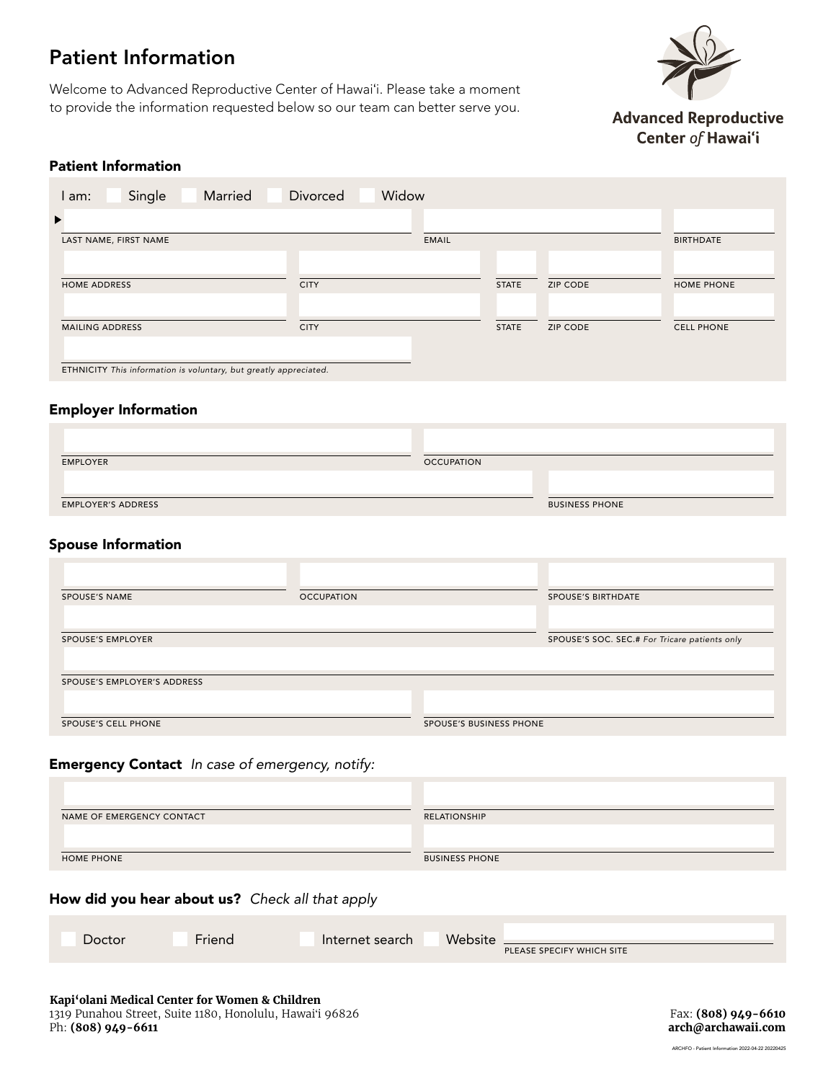# Patient Information

Welcome to Advanced Reproductive Center of Hawaiʻi. Please take a moment to provide the information requested below so our team can better serve you.



**Advanced Reproductive** Center of Hawai'i

# Patient Information

| Married<br>Single<br>l am:                                        | Divorced<br>Widow |              |                 |                   |
|-------------------------------------------------------------------|-------------------|--------------|-----------------|-------------------|
| ▶                                                                 |                   |              |                 |                   |
| LAST NAME, FIRST NAME                                             |                   | EMAIL        |                 | <b>BIRTHDATE</b>  |
|                                                                   |                   |              |                 |                   |
| <b>HOME ADDRESS</b>                                               | <b>CITY</b>       | <b>STATE</b> | <b>ZIP CODE</b> | HOME PHONE        |
|                                                                   |                   |              |                 |                   |
| <b>MAILING ADDRESS</b>                                            | <b>CITY</b>       | <b>STATE</b> | <b>ZIP CODE</b> | <b>CELL PHONE</b> |
|                                                                   |                   |              |                 |                   |
| ETHNICITY This information is voluntary, but greatly appreciated. |                   |              |                 |                   |

# Employer Information

| <b>OCCUPATION</b> |                       |
|-------------------|-----------------------|
|                   |                       |
|                   |                       |
|                   | <b>BUSINESS PHONE</b> |
|                   |                       |

### Spouse Information

| <b>SPOUSE'S NAME</b>        | <b>OCCUPATION</b> |                         | <b>SPOUSE'S BIRTHDATE</b>                     |
|-----------------------------|-------------------|-------------------------|-----------------------------------------------|
|                             |                   |                         |                                               |
| <b>SPOUSE'S EMPLOYER</b>    |                   |                         | SPOUSE'S SOC. SEC.# For Tricare patients only |
|                             |                   |                         |                                               |
| SPOUSE'S EMPLOYER'S ADDRESS |                   |                         |                                               |
|                             |                   |                         |                                               |
| SPOUSE'S CELL PHONE         |                   | SPOUSE'S BUSINESS PHONE |                                               |

## Emergency Contact *In case of emergency, notify:*

| NAME OF EMERGENCY CONTACT | RELATIONSHIP          |
|---------------------------|-----------------------|
|                           |                       |
|                           |                       |
| <b>HOME PHONE</b>         | <b>BUSINESS PHONE</b> |

## How did you hear about us? *Check all that apply*

| Doctor | $ -$<br>Friend | Internet search | Website | PLEASE SPECIFY WHICH SITE |
|--------|----------------|-----------------|---------|---------------------------|
|--------|----------------|-----------------|---------|---------------------------|